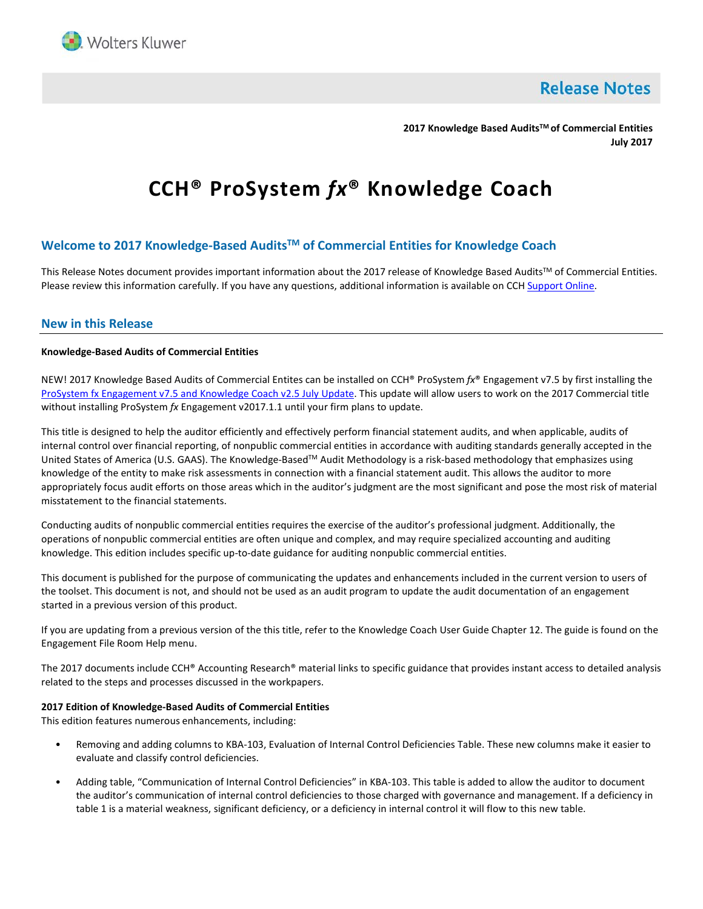

**Release Notes** 

**2017 Knowledge Based AuditsTM of Commercial Entities July 2017**

# **CCH® ProSystem** *fx***® Knowledge Coach**

# **Welcome to 2017 Knowledge-Based AuditsTM of Commercial Entities for Knowledge Coach**

This Release Notes document provides important information about the 2017 release of Knowledge Based Audits™ of Commercial Entities. Please review this information carefully. If you have any questions, additional information is available on CC[H Support Online.](http://support.cch.com/productsupport/)

# **New in this Release**

#### **Knowledge-Based Audits of Commercial Entities**

NEW! 2017 Knowledge Based Audits of Commercial Entites can be installed on CCH® ProSystem *fx*® Engagement v7.5 by first installing the ProSystem fx [Engagement v7.5 and](https://support.cch.com/updates/Engagement/patch75/patch75.aspx) Knowledge Coach v2.5 July Update. This update will allow users to work on the 2017 Commercial title without installing ProSystem *fx* Engagement v2017.1.1 until your firm plans to update.

This title is designed to help the auditor efficiently and effectively perform financial statement audits, and when applicable, audits of internal control over financial reporting, of nonpublic commercial entities in accordance with auditing standards generally accepted in the United States of America (U.S. GAAS). The Knowledge-Based™ Audit Methodology is a risk-based methodology that emphasizes using knowledge of the entity to make risk assessments in connection with a financial statement audit. This allows the auditor to more appropriately focus audit efforts on those areas which in the auditor's judgment are the most significant and pose the most risk of material misstatement to the financial statements.

Conducting audits of nonpublic commercial entities requires the exercise of the auditor's professional judgment. Additionally, the operations of nonpublic commercial entities are often unique and complex, and may require specialized accounting and auditing knowledge. This edition includes specific up-to-date guidance for auditing nonpublic commercial entities.

This document is published for the purpose of communicating the updates and enhancements included in the current version to users of the toolset. This document is not, and should not be used as an audit program to update the audit documentation of an engagement started in a previous version of this product.

If you are updating from a previous version of the this title, refer to the Knowledge Coach User Guide Chapter 12. The guide is found on the Engagement File Room Help menu.

The 2017 documents include CCH® Accounting Research® material links to specific guidance that provides instant access to detailed analysis related to the steps and processes discussed in the workpapers.

## **2017 Edition of Knowledge-Based Audits of Commercial Entities**

This edition features numerous enhancements, including:

- Removing and adding columns to KBA-103, Evaluation of Internal Control Deficiencies Table. These new columns make it easier to evaluate and classify control deficiencies.
- Adding table, "Communication of Internal Control Deficiencies" in KBA-103. This table is added to allow the auditor to document the auditor's communication of internal control deficiencies to those charged with governance and management. If a deficiency in table 1 is a material weakness, significant deficiency, or a deficiency in internal control it will flow to this new table.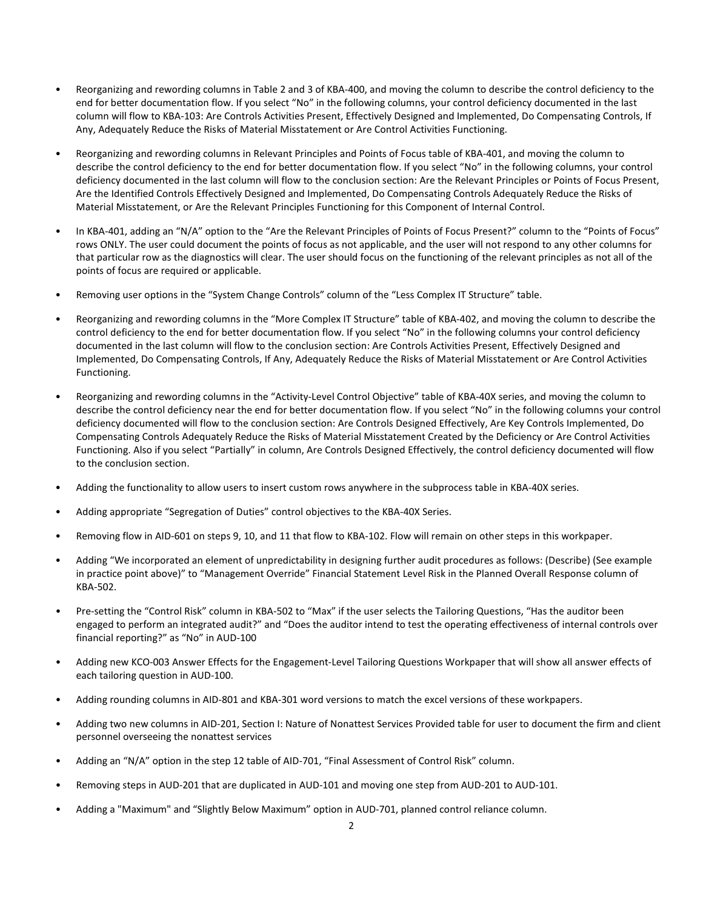- Reorganizing and rewording columns in Table 2 and 3 of KBA-400, and moving the column to describe the control deficiency to the end for better documentation flow. If you select "No" in the following columns, your control deficiency documented in the last column will flow to KBA-103: Are Controls Activities Present, Effectively Designed and Implemented, Do Compensating Controls, If Any, Adequately Reduce the Risks of Material Misstatement or Are Control Activities Functioning.
- Reorganizing and rewording columns in Relevant Principles and Points of Focus table of KBA-401, and moving the column to describe the control deficiency to the end for better documentation flow. If you select "No" in the following columns, your control deficiency documented in the last column will flow to the conclusion section: Are the Relevant Principles or Points of Focus Present, Are the Identified Controls Effectively Designed and Implemented, Do Compensating Controls Adequately Reduce the Risks of Material Misstatement, or Are the Relevant Principles Functioning for this Component of Internal Control.
- In KBA-401, adding an "N/A" option to the "Are the Relevant Principles of Points of Focus Present?" column to the "Points of Focus" rows ONLY. The user could document the points of focus as not applicable, and the user will not respond to any other columns for that particular row as the diagnostics will clear. The user should focus on the functioning of the relevant principles as not all of the points of focus are required or applicable.
- Removing user options in the "System Change Controls" column of the "Less Complex IT Structure" table.
- Reorganizing and rewording columns in the "More Complex IT Structure" table of KBA-402, and moving the column to describe the control deficiency to the end for better documentation flow. If you select "No" in the following columns your control deficiency documented in the last column will flow to the conclusion section: Are Controls Activities Present, Effectively Designed and Implemented, Do Compensating Controls, If Any, Adequately Reduce the Risks of Material Misstatement or Are Control Activities Functioning.
- Reorganizing and rewording columns in the "Activity-Level Control Objective" table of KBA-40X series, and moving the column to describe the control deficiency near the end for better documentation flow. If you select "No" in the following columns your control deficiency documented will flow to the conclusion section: Are Controls Designed Effectively, Are Key Controls Implemented, Do Compensating Controls Adequately Reduce the Risks of Material Misstatement Created by the Deficiency or Are Control Activities Functioning. Also if you select "Partially" in column, Are Controls Designed Effectively, the control deficiency documented will flow to the conclusion section.
- Adding the functionality to allow users to insert custom rows anywhere in the subprocess table in KBA-40X series.
- Adding appropriate "Segregation of Duties" control objectives to the KBA-40X Series.
- Removing flow in AID-601 on steps 9, 10, and 11 that flow to KBA-102. Flow will remain on other steps in this workpaper.
- Adding "We incorporated an element of unpredictability in designing further audit procedures as follows: (Describe) (See example in practice point above)" to "Management Override" Financial Statement Level Risk in the Planned Overall Response column of KBA-502.
- Pre-setting the "Control Risk" column in KBA-502 to "Max" if the user selects the Tailoring Questions, "Has the auditor been engaged to perform an integrated audit?" and "Does the auditor intend to test the operating effectiveness of internal controls over financial reporting?" as "No" in AUD-100
- Adding new KCO-003 Answer Effects for the Engagement-Level Tailoring Questions Workpaper that will show all answer effects of each tailoring question in AUD-100.
- Adding rounding columns in AID-801 and KBA-301 word versions to match the excel versions of these workpapers.
- Adding two new columns in AID-201, Section I: Nature of Nonattest Services Provided table for user to document the firm and client personnel overseeing the nonattest services
- Adding an "N/A" option in the step 12 table of AID-701, "Final Assessment of Control Risk" column.
- Removing steps in AUD-201 that are duplicated in AUD-101 and moving one step from AUD-201 to AUD-101.
- Adding a "Maximum" and "Slightly Below Maximum" option in AUD-701, planned control reliance column.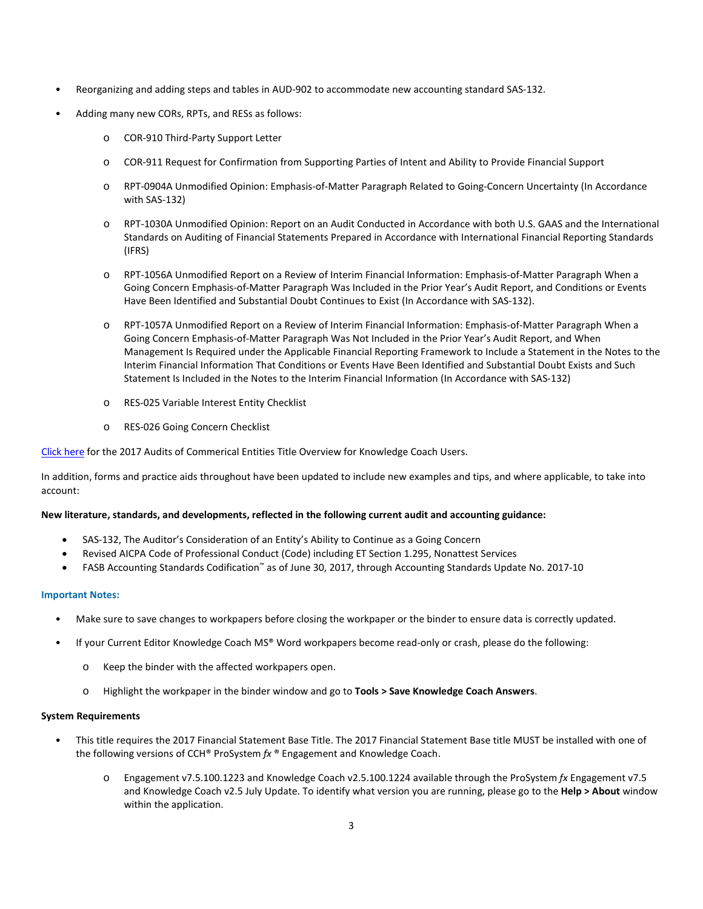- Reorganizing and adding steps and tables in AUD-902 to accommodate new accounting standard SAS-132.
- Adding many new CORs, RPTs, and RESs as follows:
	- o COR-910 Third-Party Support Letter
	- o COR-911 Request for Confirmation from Supporting Parties of Intent and Ability to Provide Financial Support
	- o RPT-0904A Unmodified Opinion: Emphasis-of-Matter Paragraph Related to Going-Concern Uncertainty (In Accordance with SAS-132)
	- o RPT-1030A Unmodified Opinion: Report on an Audit Conducted in Accordance with both U.S. GAAS and the International Standards on Auditing of Financial Statements Prepared in Accordance with International Financial Reporting Standards (IFRS)
	- o RPT-1056A Unmodified Report on a Review of Interim Financial Information: Emphasis-of-Matter Paragraph When a Going Concern Emphasis-of-Matter Paragraph Was Included in the Prior Year's Audit Report, and Conditions or Events Have Been Identified and Substantial Doubt Continues to Exist (In Accordance with SAS-132).
	- o RPT-1057A Unmodified Report on a Review of Interim Financial Information: Emphasis-of-Matter Paragraph When a Going Concern Emphasis-of-Matter Paragraph Was Not Included in the Prior Year's Audit Report, and When Management Is Required under the Applicable Financial Reporting Framework to Include a Statement in the Notes to the Interim Financial Information That Conditions or Events Have Been Identified and Substantial Doubt Exists and Such Statement Is Included in the Notes to the Interim Financial Information (In Accordance with SAS-132)
	- o RES-025 Variable Interest Entity Checklist
	- o RES-026 Going Concern Checklist

[Click here](http://support.cch.com/updates/KnowledgeCoach/pdf/guides_tab/2017%20Commercial%20Entities%20Title%20Overview%20for%20Knowledge%20Coach%20Users.pdf) for the 2017 Audits of Commerical Entities Title Overview for Knowledge Coach Users.

In addition, forms and practice aids throughout have been updated to include new examples and tips, and where applicable, to take into account:

## **New literature, standards, and developments, reflected in the following current audit and accounting guidance:**

- SAS-132, The Auditor's Consideration of an Entity's Ability to Continue as a Going Concern
- Revised AICPA Code of Professional Conduct (Code) including ET Section 1.295, Nonattest Services
- FASB Accounting Standards Codification™ as of June 30, 2017, through Accounting Standards Update No. 2017-10

## **Important Notes:**

- Make sure to save changes to workpapers before closing the workpaper or the binder to ensure data is correctly updated.
- If your Current Editor Knowledge Coach MS® Word workpapers become read-only or crash, please do the following:
	- o Keep the binder with the affected workpapers open.
	- o Highlight the workpaper in the binder window and go to **Tools > Save Knowledge Coach Answers**.

## **System Requirements**

- This title requires the 2017 Financial Statement Base Title. The 2017 Financial Statement Base title MUST be installed with one of the following versions of CCH® ProSystem *fx* ® Engagement and Knowledge Coach.
	- Engagement v7.5.100.1223 and Knowledge Coach v2.5.100.1224 available through the ProSystem *fx* Engagement v7.5 and Knowledge Coach v2.5 July Update. To identify what version you are running, please go to the **Help > About** window within the application.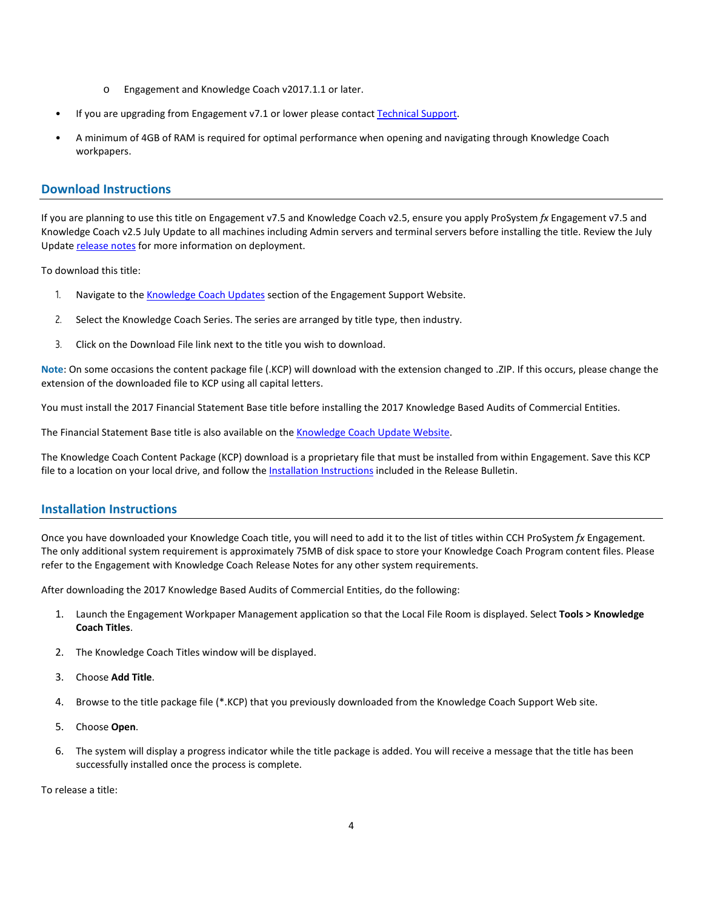- o Engagement and Knowledge Coach v2017.1.1 or later.
- If you are upgrading from Engagement v7.1 or lower please contac[t Technical Support.](https://support.cch.com/contact)
- A minimum of 4GB of RAM is required for optimal performance when opening and navigating through Knowledge Coach workpapers.

# **Download Instructions**

If you are planning to use this title on Engagement v7.5 and Knowledge Coach v2.5, ensure you apply ProSystem *fx* Engagement v7.5 and Knowledge Coach v2.5 July Update to all machines including Admin servers and terminal servers before installing the title. Review the July Update [release notes](https://support.cch.com/updates/Engagement/patch75/Engagement%20and%20KC%20July%202017%20Update%20Release%20Notes.pdf) for more information on deployment.

To download this title:

- 1. Navigate to the [Knowledge Coach Updates](http://support.cch.com/updates/KnowledgeCoach) section of the Engagement Support Website.
- 2. Select the Knowledge Coach Series. The series are arranged by title type, then industry.
- 3. Click on the Download File link next to the title you wish to download.

**Note**: On some occasions the content package file (.KCP) will download with the extension changed to .ZIP. If this occurs, please change the extension of the downloaded file to KCP using all capital letters.

You must install the 2017 Financial Statement Base title before installing the 2017 Knowledge Based Audits of Commercial Entities.

The Financial Statement Base title is also available on th[e Knowledge Coach Update Website.](http://support.cch.com/updates/KnowledgeCoach)

The Knowledge Coach Content Package (KCP) download is a proprietary file that must be installed from within Engagement. Save this KCP file to a location on your local drive, and follow the Installation Instructions included in the Release Bulletin.

# **Installation Instructions**

Once you have downloaded your Knowledge Coach title, you will need to add it to the list of titles within CCH ProSystem *fx* Engagement. The only additional system requirement is approximately 75MB of disk space to store your Knowledge Coach Program content files. Please refer to the Engagement with Knowledge Coach Release Notes for any other system requirements.

After downloading the 2017 Knowledge Based Audits of Commercial Entities, do the following:

- 1. Launch the Engagement Workpaper Management application so that the Local File Room is displayed. Select **Tools > Knowledge Coach Titles**.
- 2. The Knowledge Coach Titles window will be displayed.
- 3. Choose **Add Title**.
- 4. Browse to the title package file (\*.KCP) that you previously downloaded from the Knowledge Coach Support Web site.
- 5. Choose **Open**.
- 6. The system will display a progress indicator while the title package is added. You will receive a message that the title has been successfully installed once the process is complete.

To release a title: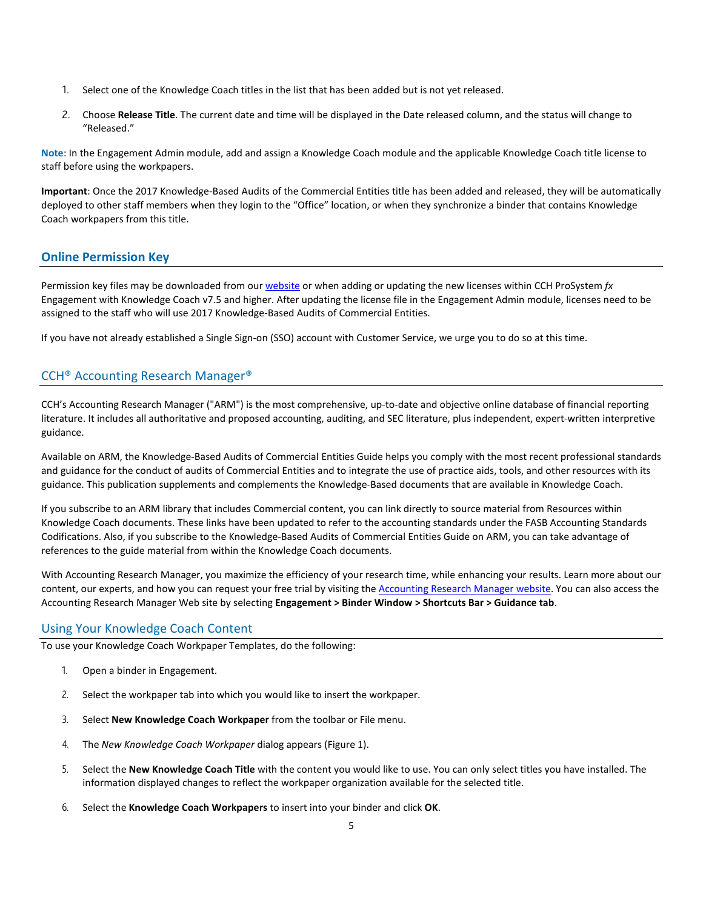- 1. Select one of the Knowledge Coach titles in the list that has been added but is not yet released.
- 2. Choose **Release Title**. The current date and time will be displayed in the Date released column, and the status will change to "Released."

**Note**: In the Engagement Admin module, add and assign a Knowledge Coach module and the applicable Knowledge Coach title license to staff before using the workpapers.

**Important**: Once the 2017 Knowledge-Based Audits of the Commercial Entities title has been added and released, they will be automatically deployed to other staff members when they login to the "Office" location, or when they synchronize a binder that contains Knowledge Coach workpapers from this title.

# **Online Permission Key**

Permission key files may be downloaded from ou[r website](https://prosystemfxsupport.tax.cchgroup.com/permkey/download.aspx) or when adding or updating the new licenses within CCH ProSystem *fx* Engagement with Knowledge Coach v7.5 and higher. After updating the license file in the Engagement Admin module, licenses need to be assigned to the staff who will use 2017 Knowledge-Based Audits of Commercial Entities.

If you have not already established a Single Sign-on (SSO) account with Customer Service, we urge you to do so at this time.

# CCH® Accounting Research Manager®

CCH's Accounting Research Manager ("ARM") is the most comprehensive, up-to-date and objective online database of financial reporting literature. It includes all authoritative and proposed accounting, auditing, and SEC literature, plus independent, expert-written interpretive guidance.

Available on ARM, the Knowledge-Based Audits of Commercial Entities Guide helps you comply with the most recent professional standards and guidance for the conduct of audits of Commercial Entities and to integrate the use of practice aids, tools, and other resources with its guidance. This publication supplements and complements the Knowledge-Based documents that are available in Knowledge Coach.

If you subscribe to an ARM library that includes Commercial content, you can link directly to source material from Resources within Knowledge Coach documents. These links have been updated to refer to the accounting standards under the FASB Accounting Standards Codifications. Also, if you subscribe to the Knowledge-Based Audits of Commercial Entities Guide on ARM, you can take advantage of references to the guide material from within the Knowledge Coach documents.

With Accounting Research Manager, you maximize the efficiency of your research time, while enhancing your results. Learn more about our content, our experts, and how you can request your free trial by visiting the [Accounting Research Manager website.](http://www.accountingresearchmanager.com/) You can also access the Accounting Research Manager Web site by selecting **Engagement > Binder Window > Shortcuts Bar > Guidance tab**.

# Using Your Knowledge Coach Content

To use your Knowledge Coach Workpaper Templates, do the following:

- 1. Open a binder in Engagement.
- 2. Select the workpaper tab into which you would like to insert the workpaper.
- 3. Select **New Knowledge Coach Workpaper** from the toolbar or File menu.
- 4. The *New Knowledge Coach Workpaper* dialog appears (Figure 1).
- 5. Select the **New Knowledge Coach Title** with the content you would like to use. You can only select titles you have installed. The information displayed changes to reflect the workpaper organization available for the selected title.
- 6. Select the **Knowledge Coach Workpapers** to insert into your binder and click **OK**.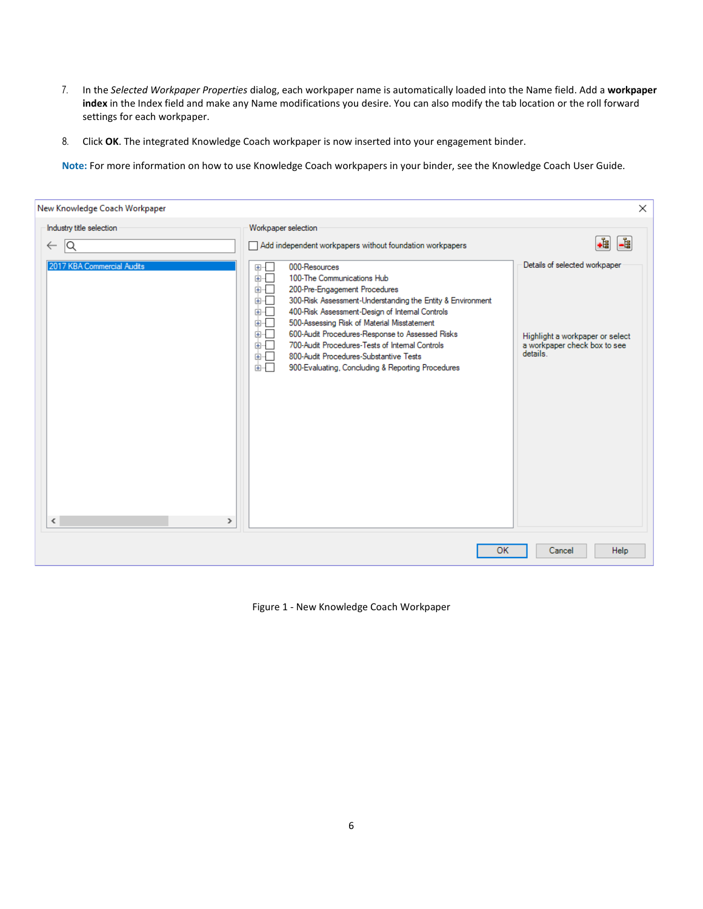- 7. In the *Selected Workpaper Properties* dialog, each workpaper name is automatically loaded into the Name field. Add a **workpaper index** in the Index field and make any Name modifications you desire. You can also modify the tab location or the roll forward settings for each workpaper.
- 8. Click **OK**. The integrated Knowledge Coach workpaper is now inserted into your engagement binder.

**Note:** For more information on how to use Knowledge Coach workpapers in your binder, see the Knowledge Coach User Guide.

| New Knowledge Coach Workpaper                  |                                                                                                                                                                                                                                                                                                                                                                                                                                                                                                                 | $\times$                                                                                                     |
|------------------------------------------------|-----------------------------------------------------------------------------------------------------------------------------------------------------------------------------------------------------------------------------------------------------------------------------------------------------------------------------------------------------------------------------------------------------------------------------------------------------------------------------------------------------------------|--------------------------------------------------------------------------------------------------------------|
| Industry title selection<br>1Q<br>$\leftarrow$ | Workpaper selection<br>Add independent workpapers without foundation workpapers                                                                                                                                                                                                                                                                                                                                                                                                                                 | •≹<br>-1                                                                                                     |
| 2017 KBA Commercial Audits<br>$\,$ $\,$<br>≯   | 000-Resources<br>田…<br>画一<br>100-The Communications Hub<br>200-Pre-Engagement Procedures<br>由…<br>300-Risk Assessment-Understanding the Entity & Environment<br>面。<br>400-Risk Assessment-Design of Internal Controls<br>面。<br>500-Assessing Risk of Material Misstatement<br>面一<br>600-Audit Procedures-Response to Assessed Risks<br>面一<br>700-Audit Procedures-Tests of Internal Controls<br>面相目<br>800-Audit Procedures-Substantive Tests<br>面明日<br>面一<br>900-Evaluating, Concluding & Reporting Procedures | Details of selected workpaper<br>Highlight a workpaper or select<br>a workpaper check box to see<br>details. |
|                                                | OK                                                                                                                                                                                                                                                                                                                                                                                                                                                                                                              | Cancel<br><b>Help</b>                                                                                        |

Figure 1 - New Knowledge Coach Workpaper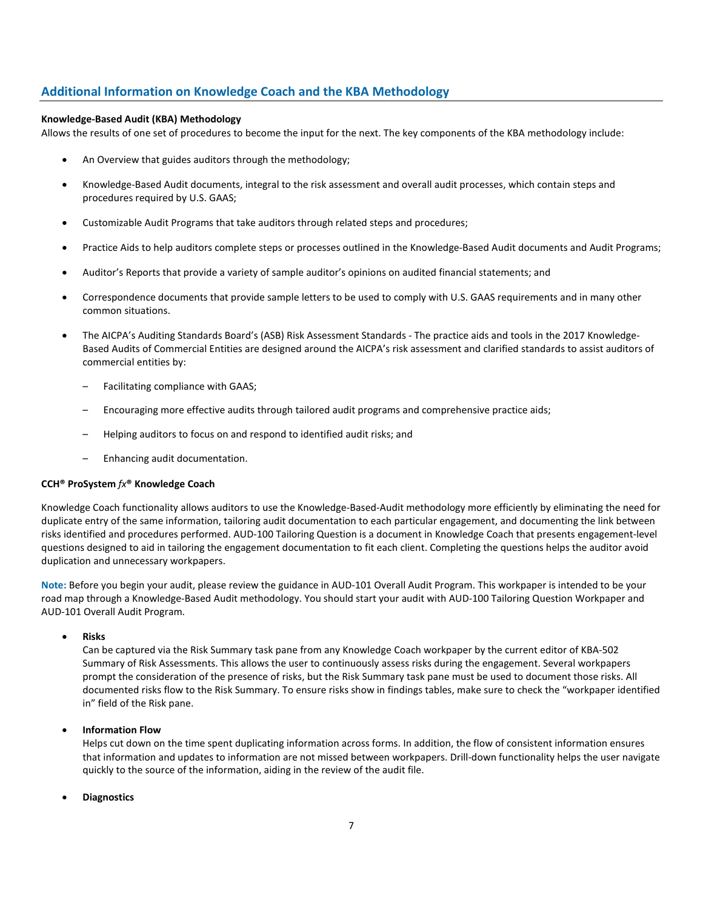# **Additional Information on Knowledge Coach and the KBA Methodology**

#### **Knowledge-Based Audit (KBA) Methodology**

Allows the results of one set of procedures to become the input for the next. The key components of the KBA methodology include:

- An Overview that guides auditors through the methodology;
- Knowledge-Based Audit documents, integral to the risk assessment and overall audit processes, which contain steps and procedures required by U.S. GAAS;
- Customizable Audit Programs that take auditors through related steps and procedures;
- Practice Aids to help auditors complete steps or processes outlined in the Knowledge-Based Audit documents and Audit Programs;
- Auditor's Reports that provide a variety of sample auditor's opinions on audited financial statements; and
- Correspondence documents that provide sample letters to be used to comply with U.S. GAAS requirements and in many other common situations.
- The AICPA's Auditing Standards Board's (ASB) Risk Assessment Standards The practice aids and tools in the 2017 Knowledge-Based Audits of Commercial Entities are designed around the AICPA's risk assessment and clarified standards to assist auditors of commercial entities by:
	- Facilitating compliance with GAAS;
	- Encouraging more effective audits through tailored audit programs and comprehensive practice aids;
	- Helping auditors to focus on and respond to identified audit risks; and
	- Enhancing audit documentation.

#### **CCH® ProSystem** *fx***® Knowledge Coach**

Knowledge Coach functionality allows auditors to use the Knowledge-Based-Audit methodology more efficiently by eliminating the need for duplicate entry of the same information, tailoring audit documentation to each particular engagement, and documenting the link between risks identified and procedures performed. AUD-100 Tailoring Question is a document in Knowledge Coach that presents engagement-level questions designed to aid in tailoring the engagement documentation to fit each client. Completing the questions helps the auditor avoid duplication and unnecessary workpapers.

**Note:** Before you begin your audit, please review the guidance in AUD-101 Overall Audit Program. This workpaper is intended to be your road map through a Knowledge-Based Audit methodology. You should start your audit with AUD-100 Tailoring Question Workpaper and AUD-101 Overall Audit Program.

#### • **Risks**

Can be captured via the Risk Summary task pane from any Knowledge Coach workpaper by the current editor of KBA-502 Summary of Risk Assessments. This allows the user to continuously assess risks during the engagement. Several workpapers prompt the consideration of the presence of risks, but the Risk Summary task pane must be used to document those risks. All documented risks flow to the Risk Summary. To ensure risks show in findings tables, make sure to check the "workpaper identified in" field of the Risk pane.

## • **Information Flow**

Helps cut down on the time spent duplicating information across forms. In addition, the flow of consistent information ensures that information and updates to information are not missed between workpapers. Drill-down functionality helps the user navigate quickly to the source of the information, aiding in the review of the audit file.

## • **Diagnostics**